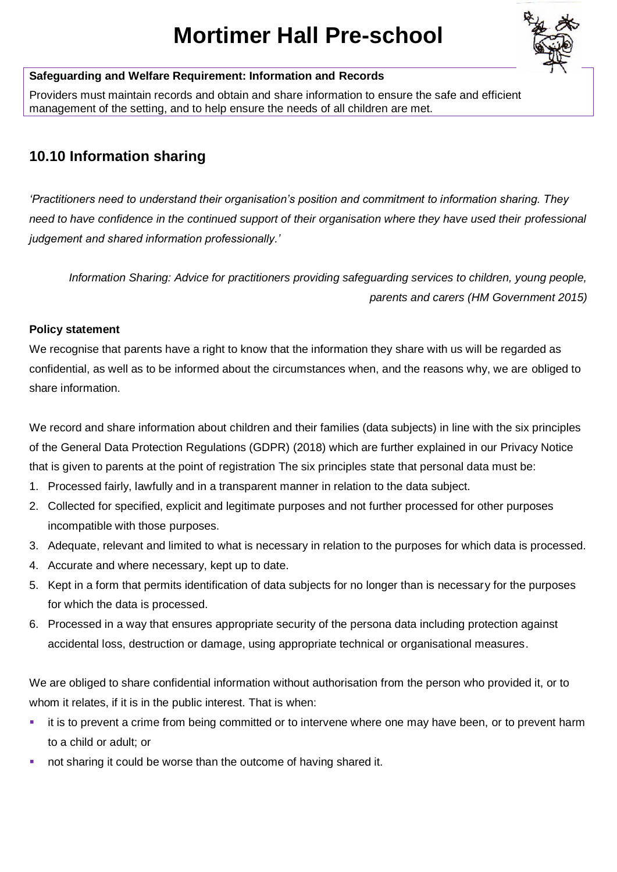# **Mortimer Hall Pre-school**



# **Safeguarding and Welfare Requirement: Information and Records**

Providers must maintain records and obtain and share information to ensure the safe and efficient management of the setting, and to help ensure the needs of all children are met.

# **10.10 Information sharing**

*'Practitioners need to understand their organisation's position and commitment to information sharing. They need to have confidence in the continued support of their organisation where they have used their professional judgement and shared information professionally.'*

*Information Sharing: Advice for practitioners providing safeguarding services to children, young people, parents and carers (HM Government 2015)*

# **Policy statement**

We recognise that parents have a right to know that the information they share with us will be regarded as confidential, as well as to be informed about the circumstances when, and the reasons why, we are obliged to share information.

We record and share information about children and their families (data subjects) in line with the six principles of the General Data Protection Regulations (GDPR) (2018) which are further explained in our Privacy Notice that is given to parents at the point of registration The six principles state that personal data must be:

- 1. Processed fairly, lawfully and in a transparent manner in relation to the data subject.
- 2. Collected for specified, explicit and legitimate purposes and not further processed for other purposes incompatible with those purposes.
- 3. Adequate, relevant and limited to what is necessary in relation to the purposes for which data is processed.
- 4. Accurate and where necessary, kept up to date.
- 5. Kept in a form that permits identification of data subjects for no longer than is necessary for the purposes for which the data is processed.
- 6. Processed in a way that ensures appropriate security of the persona data including protection against accidental loss, destruction or damage, using appropriate technical or organisational measures.

We are obliged to share confidential information without authorisation from the person who provided it, or to whom it relates, if it is in the public interest. That is when:

- it is to prevent a crime from being committed or to intervene where one may have been, or to prevent harm to a child or adult; or
- not sharing it could be worse than the outcome of having shared it.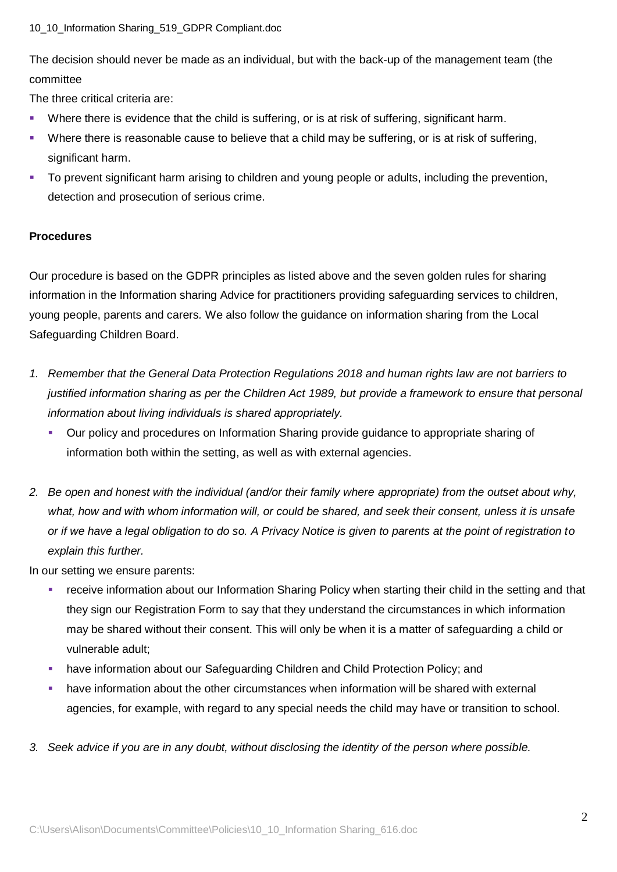#### 10\_10\_Information Sharing\_519\_GDPR Compliant.doc

The decision should never be made as an individual, but with the back-up of the management team (the committee

The three critical criteria are:

- Where there is evidence that the child is suffering, or is at risk of suffering, significant harm.
- **•** Where there is reasonable cause to believe that a child may be suffering, or is at risk of suffering, significant harm.
- To prevent significant harm arising to children and young people or adults, including the prevention, detection and prosecution of serious crime.

## **Procedures**

Our procedure is based on the GDPR principles as listed above and the seven golden rules for sharing information in the Information sharing Advice for practitioners providing safeguarding services to children, young people, parents and carers*.* We also follow the guidance on information sharing from the Local Safeguarding Children Board.

- *1. Remember that the General Data Protection Regulations 2018 and human rights law are not barriers to justified information sharing as per the Children Act 1989, but provide a framework to ensure that personal information about living individuals is shared appropriately.*
	- Our policy and procedures on Information Sharing provide guidance to appropriate sharing of information both within the setting, as well as with external agencies.
- *2. Be open and honest with the individual (and/or their family where appropriate) from the outset about why, what, how and with whom information will, or could be shared, and seek their consent, unless it is unsafe or if we have a legal obligation to do so. A Privacy Notice is given to parents at the point of registration to explain this further.*

In our setting we ensure parents:

- receive information about our Information Sharing Policy when starting their child in the setting and that they sign our Registration Form to say that they understand the circumstances in which information may be shared without their consent. This will only be when it is a matter of safeguarding a child or vulnerable adult;
- have information about our Safeguarding Children and Child Protection Policy; and
- have information about the other circumstances when information will be shared with external agencies, for example, with regard to any special needs the child may have or transition to school.
- *3. Seek advice if you are in any doubt, without disclosing the identity of the person where possible.*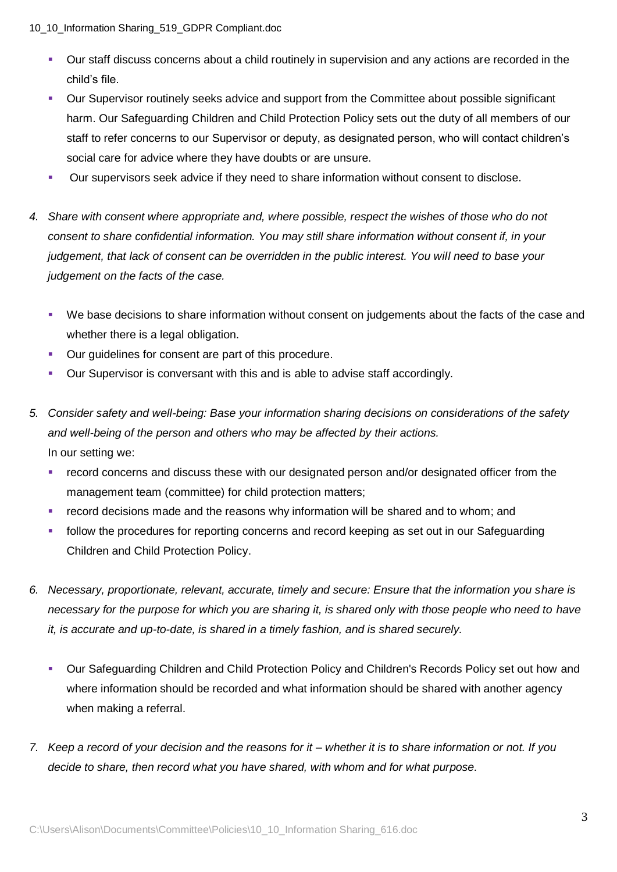10\_10\_Information Sharing\_519\_GDPR Compliant.doc

- Our staff discuss concerns about a child routinely in supervision and any actions are recorded in the child's file.
- Our Supervisor routinely seeks advice and support from the Committee about possible significant harm. Our Safeguarding Children and Child Protection Policy sets out the duty of all members of our staff to refer concerns to our Supervisor or deputy, as designated person, who will contact children's social care for advice where they have doubts or are unsure.
- Our supervisors seek advice if they need to share information without consent to disclose.
- *4. Share with consent where appropriate and, where possible, respect the wishes of those who do not consent to share confidential information. You may still share information without consent if, in your judgement, that lack of consent can be overridden in the public interest. You will need to base your judgement on the facts of the case.*
	- We base decisions to share information without consent on judgements about the facts of the case and whether there is a legal obligation.
	- Our guidelines for consent are part of this procedure.
	- **•** Our Supervisor is conversant with this and is able to advise staff accordingly.
- *5. Consider safety and well-being: Base your information sharing decisions on considerations of the safety and well-being of the person and others who may be affected by their actions.* In our setting we:
	- record concerns and discuss these with our designated person and/or designated officer from the management team (committee) for child protection matters;
	- record decisions made and the reasons why information will be shared and to whom; and
	- follow the procedures for reporting concerns and record keeping as set out in our Safeguarding Children and Child Protection Policy.
- *6. Necessary, proportionate, relevant, accurate, timely and secure: Ensure that the information you share is necessary for the purpose for which you are sharing it, is shared only with those people who need to have it, is accurate and up-to-date, is shared in a timely fashion, and is shared securely.*
	- Our Safeguarding Children and Child Protection Policy and Children's Records Policy set out how and where information should be recorded and what information should be shared with another agency when making a referral.
- *7. Keep a record of your decision and the reasons for it – whether it is to share information or not. If you decide to share, then record what you have shared, with whom and for what purpose.*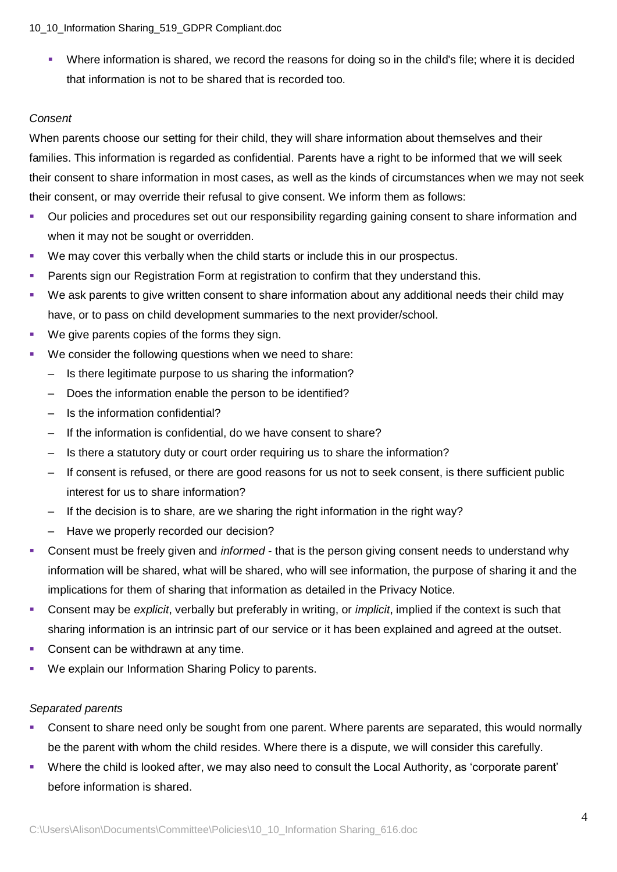#### 10\_10\_Information Sharing\_519\_GDPR Compliant.doc

▪ Where information is shared, we record the reasons for doing so in the child's file; where it is decided that information is not to be shared that is recorded too.

# *Consent*

When parents choose our setting for their child, they will share information about themselves and their families. This information is regarded as confidential. Parents have a right to be informed that we will seek their consent to share information in most cases, as well as the kinds of circumstances when we may not seek their consent, or may override their refusal to give consent. We inform them as follows:

- Our policies and procedures set out our responsibility regarding gaining consent to share information and when it may not be sought or overridden.
- We may cover this verbally when the child starts or include this in our prospectus.
- **Parents sign our Registration Form at registration to confirm that they understand this.**
- We ask parents to give written consent to share information about any additional needs their child may have, or to pass on child development summaries to the next provider/school.
- We give parents copies of the forms they sign.
- We consider the following questions when we need to share:
	- Is there legitimate purpose to us sharing the information?
	- Does the information enable the person to be identified?
	- Is the information confidential?
	- If the information is confidential, do we have consent to share?
	- Is there a statutory duty or court order requiring us to share the information?
	- If consent is refused, or there are good reasons for us not to seek consent, is there sufficient public interest for us to share information?
	- If the decision is to share, are we sharing the right information in the right way?
	- Have we properly recorded our decision?
- **EXECONSERVIER THE CONSERVIER IS CONSERVERT CONSERVIER FOR THE CONSERVIER CONSERVIER CONSERVIER CONSERVAT CONSERVIER SCHOOL OF CONSERVIER SCHOOL OF CONSERVIER SCHOOL OF CONSERVIER SCHOOL OF CONSERVIER SCHOOL OF CONSERVAT C** information will be shared, what will be shared, who will see information, the purpose of sharing it and the implications for them of sharing that information as detailed in the Privacy Notice.
- Consent may be *explicit*, verbally but preferably in writing, or *implicit*, implied if the context is such that sharing information is an intrinsic part of our service or it has been explained and agreed at the outset.
- Consent can be withdrawn at any time.
- We explain our Information Sharing Policy to parents.

#### *Separated parents*

- Consent to share need only be sought from one parent. Where parents are separated, this would normally be the parent with whom the child resides. Where there is a dispute, we will consider this carefully.
- Where the child is looked after, we may also need to consult the Local Authority, as 'corporate parent' before information is shared.